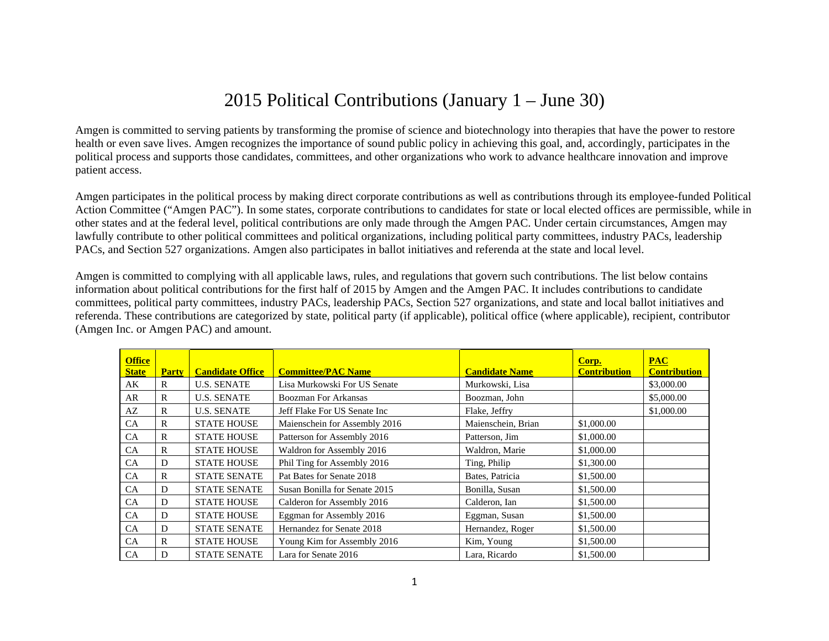## 2015 Political Contributions (January 1 – June 30)

Amgen is committed to serving patients by transforming the promise of science and biotechnology into therapies that have the power to restore health or even save lives. Amgen recognizes the importance of sound public policy in achieving this goal, and, accordingly, participates in the political process and supports those candidates, committees, and other organizations who work to advance healthcare innovation and improve patient access.

Amgen participates in the political process by making direct corporate contributions as well as contributions through its employee-funded Political Action Committee ("Amgen PAC"). In some states, corporate contributions to candidates for state or local elected offices are permissible, while in other states and at the federal level, political contributions are only made through the Amgen PAC. Under certain circumstances, Amgen may lawfully contribute to other political committees and political organizations, including political party committees, industry PACs, leadership PACs, and Section 527 organizations. Amgen also participates in ballot initiatives and referenda at the state and local level.

Amgen is committed to complying with all applicable laws, rules, and regulations that govern such contributions. The list below contains information about political contributions for the first half of 2015 by Amgen and the Amgen PAC. It includes contributions to candidate committees, political party committees, industry PACs, leadership PACs, Section 527 organizations, and state and local ballot initiatives and referenda. These contributions are categorized by state, political party (if applicable), political office (where applicable), recipient, contributor (Amgen Inc. or Amgen PAC) and amount.

| <b>Office</b><br><b>State</b> | <b>Party</b> | <b>Candidate Office</b> | <b>Committee/PAC Name</b>     | <b>Candidate Name</b> | Corp.<br><b>Contribution</b> | <b>PAC</b><br><b>Contribution</b> |
|-------------------------------|--------------|-------------------------|-------------------------------|-----------------------|------------------------------|-----------------------------------|
| AK                            | R            | <b>U.S. SENATE</b>      | Lisa Murkowski For US Senate  | Murkowski, Lisa       |                              | \$3,000.00                        |
| AR                            | R            | <b>U.S. SENATE</b>      | Boozman For Arkansas          | Boozman, John         |                              | \$5,000.00                        |
| AZ                            | R            | <b>U.S. SENATE</b>      | Jeff Flake For US Senate Inc  | Flake, Jeffry         |                              | \$1,000.00                        |
| <b>CA</b>                     | R            | <b>STATE HOUSE</b>      | Maienschein for Assembly 2016 | Maienschein, Brian    | \$1,000.00                   |                                   |
| <b>CA</b>                     | R            | <b>STATE HOUSE</b>      | Patterson for Assembly 2016   | Patterson, Jim        | \$1,000.00                   |                                   |
| <b>CA</b>                     | R            | <b>STATE HOUSE</b>      | Waldron for Assembly 2016     | Waldron, Marie        | \$1,000.00                   |                                   |
| <b>CA</b>                     | D            | <b>STATE HOUSE</b>      | Phil Ting for Assembly 2016   | Ting, Philip          | \$1,300.00                   |                                   |
| <b>CA</b>                     | R            | <b>STATE SENATE</b>     | Pat Bates for Senate 2018     | Bates, Patricia       | \$1,500.00                   |                                   |
| CA                            | D            | <b>STATE SENATE</b>     | Susan Bonilla for Senate 2015 | Bonilla, Susan        | \$1,500.00                   |                                   |
| CA                            | D            | <b>STATE HOUSE</b>      | Calderon for Assembly 2016    | Calderon, Ian         | \$1,500.00                   |                                   |
| CA                            | D            | <b>STATE HOUSE</b>      | Eggman for Assembly 2016      | Eggman, Susan         | \$1,500.00                   |                                   |
| CA                            | D            | <b>STATE SENATE</b>     | Hernandez for Senate 2018     | Hernandez, Roger      | \$1,500.00                   |                                   |
| <b>CA</b>                     | R            | <b>STATE HOUSE</b>      | Young Kim for Assembly 2016   | Kim, Young            | \$1,500.00                   |                                   |
| <b>CA</b>                     | D            | <b>STATE SENATE</b>     | Lara for Senate 2016          | Lara, Ricardo         | \$1,500.00                   |                                   |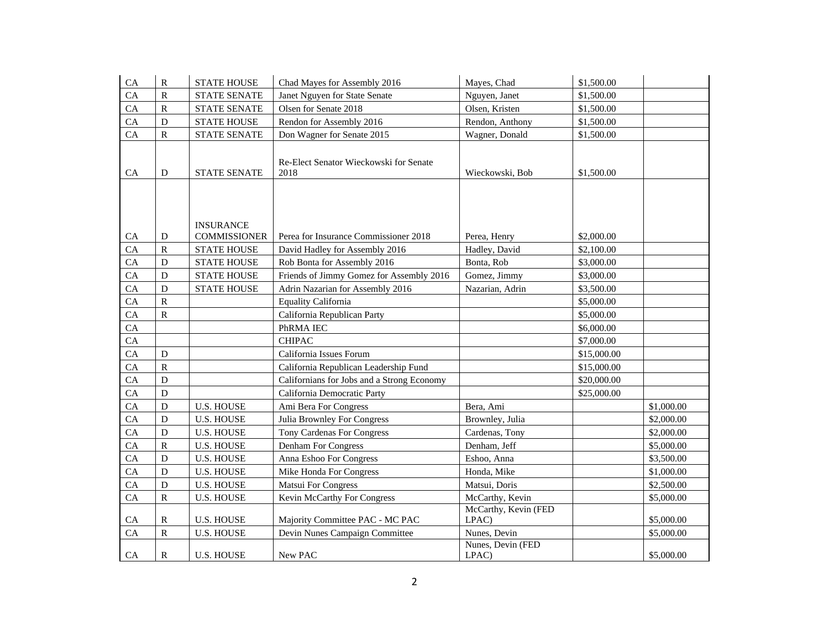| ${\rm CA}$ | $\mathbf R$           | <b>STATE HOUSE</b>  | Chad Mayes for Assembly 2016               | Mayes, Chad          | \$1,500.00  |            |
|------------|-----------------------|---------------------|--------------------------------------------|----------------------|-------------|------------|
| CA         | $\overline{\text{R}}$ | <b>STATE SENATE</b> | Janet Nguyen for State Senate              | Nguyen, Janet        | \$1,500.00  |            |
| ${\rm CA}$ | ${\bf R}$             | <b>STATE SENATE</b> | Olsen for Senate 2018                      | Olsen, Kristen       | \$1,500.00  |            |
| CA         | ${\bf D}$             | <b>STATE HOUSE</b>  | Rendon for Assembly 2016                   | Rendon, Anthony      | \$1,500.00  |            |
| CA         | ${\bf R}$             | <b>STATE SENATE</b> | Don Wagner for Senate 2015                 | Wagner, Donald       | \$1,500.00  |            |
|            |                       |                     |                                            |                      |             |            |
|            |                       |                     | Re-Elect Senator Wieckowski for Senate     |                      |             |            |
| ${\rm CA}$ | ${\bf D}$             | <b>STATE SENATE</b> | 2018                                       | Wieckowski, Bob      | \$1,500.00  |            |
|            |                       |                     |                                            |                      |             |            |
|            |                       |                     |                                            |                      |             |            |
|            |                       |                     |                                            |                      |             |            |
|            |                       | <b>INSURANCE</b>    |                                            |                      |             |            |
| CA         | D                     | <b>COMMISSIONER</b> | Perea for Insurance Commissioner 2018      | Perea, Henry         | \$2,000.00  |            |
| CA         | $\, {\bf R}$          | <b>STATE HOUSE</b>  | David Hadley for Assembly 2016             | Hadley, David        | \$2,100.00  |            |
| CA         | ${\bf D}$             | <b>STATE HOUSE</b>  | Rob Bonta for Assembly 2016                | Bonta, Rob           | \$3,000.00  |            |
| CA         | ${\bf D}$             | <b>STATE HOUSE</b>  | Friends of Jimmy Gomez for Assembly 2016   | Gomez, Jimmy         | \$3,000.00  |            |
| CA         | D                     | <b>STATE HOUSE</b>  | Adrin Nazarian for Assembly 2016           | Nazarian, Adrin      | \$3,500.00  |            |
| CA         | ${\bf R}$             |                     | <b>Equality California</b>                 |                      | \$5,000.00  |            |
| CA         | ${\bf R}$             |                     | California Republican Party                |                      | \$5,000.00  |            |
| CA         |                       |                     | PhRMA IEC                                  |                      | \$6,000.00  |            |
| ${\rm CA}$ |                       |                     | <b>CHIPAC</b>                              |                      | \$7,000.00  |            |
| CA         | $\mathbf D$           |                     | California Issues Forum                    |                      | \$15,000.00 |            |
| CA         | ${\bf R}$             |                     | California Republican Leadership Fund      |                      | \$15,000.00 |            |
| CA         | $\mathbf D$           |                     | Californians for Jobs and a Strong Economy |                      | \$20,000.00 |            |
| CA         | $\mathbf D$           |                     | California Democratic Party                |                      | \$25,000.00 |            |
| CA         | ${\bf D}$             | <b>U.S. HOUSE</b>   | Ami Bera For Congress                      | Bera, Ami            |             | \$1,000.00 |
| CA         | $\mathbf D$           | <b>U.S. HOUSE</b>   | <b>Julia Brownley For Congress</b>         | Brownley, Julia      |             | \$2,000.00 |
| CA         | ${\bf D}$             | <b>U.S. HOUSE</b>   | <b>Tony Cardenas For Congress</b>          | Cardenas, Tony       |             | \$2,000.00 |
| CA         | ${\bf R}$             | <b>U.S. HOUSE</b>   | Denham For Congress                        | Denham, Jeff         |             | \$5,000.00 |
| CA         | $\mathbf D$           | <b>U.S. HOUSE</b>   | Anna Eshoo For Congress                    | Eshoo, Anna          |             | \$3,500.00 |
| CA         | ${\bf D}$             | <b>U.S. HOUSE</b>   | Mike Honda For Congress                    | Honda, Mike          |             | \$1,000.00 |
| ${\rm CA}$ | ${\bf D}$             | <b>U.S. HOUSE</b>   | <b>Matsui For Congress</b>                 | Matsui, Doris        |             | \$2,500.00 |
| ${\rm CA}$ | ${\bf R}$             | <b>U.S. HOUSE</b>   | Kevin McCarthy For Congress                | McCarthy, Kevin      |             | \$5,000.00 |
|            |                       |                     |                                            | McCarthy, Kevin (FED |             |            |
| CA         | $\mathbf R$           | <b>U.S. HOUSE</b>   | Majority Committee PAC - MC PAC            | LPAC)                |             | \$5,000.00 |
| CA         | $\, {\bf R}$          | <b>U.S. HOUSE</b>   | Devin Nunes Campaign Committee             | Nunes, Devin         |             | \$5,000.00 |
|            |                       |                     |                                            | Nunes, Devin (FED    |             |            |
| CA         | R                     | <b>U.S. HOUSE</b>   | New PAC                                    | LPAC)                |             | \$5,000.00 |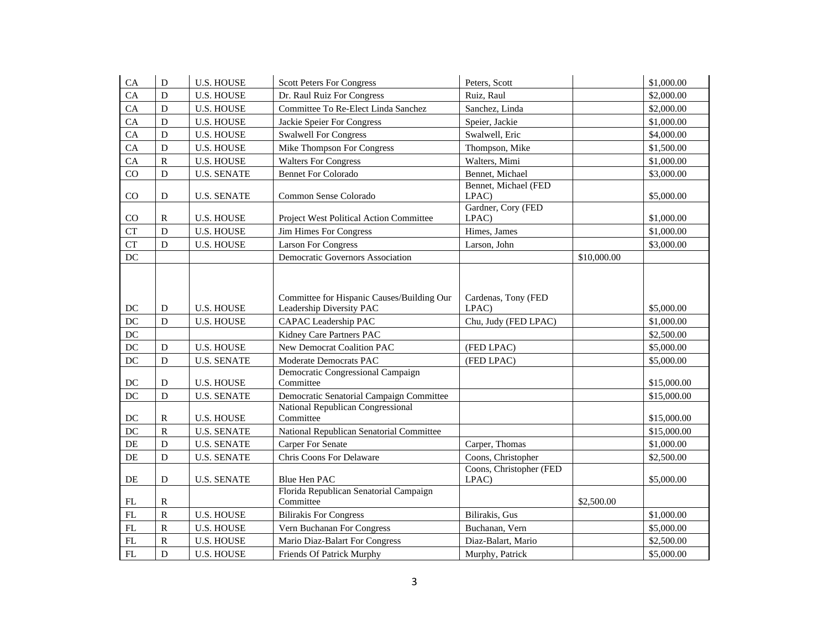| CA                  | $\mathbf D$ | <b>U.S. HOUSE</b>  | <b>Scott Peters For Congress</b>                                       | Peters, Scott                    |             | \$1,000.00  |
|---------------------|-------------|--------------------|------------------------------------------------------------------------|----------------------------------|-------------|-------------|
| CA                  | D           | <b>U.S. HOUSE</b>  | Dr. Raul Ruiz For Congress                                             | Ruiz, Raul                       |             | \$2,000.00  |
| CA                  | D           | <b>U.S. HOUSE</b>  | Committee To Re-Elect Linda Sanchez                                    | Sanchez, Linda                   |             | \$2,000.00  |
| CA                  | $\mathbf D$ | <b>U.S. HOUSE</b>  | Jackie Speier For Congress                                             | Speier, Jackie                   |             | \$1,000.00  |
| CA                  | $\mathbf D$ | <b>U.S. HOUSE</b>  | <b>Swalwell For Congress</b>                                           | Swalwell, Eric                   |             | \$4,000.00  |
| CA                  | $\mathbf D$ | <b>U.S. HOUSE</b>  | Mike Thompson For Congress                                             | Thompson, Mike                   |             | \$1,500.00  |
| CA                  | ${\bf R}$   | <b>U.S. HOUSE</b>  | <b>Walters For Congress</b>                                            | Walters, Mimi                    |             | \$1,000.00  |
| CO                  | D           | <b>U.S. SENATE</b> | <b>Bennet For Colorado</b>                                             | Bennet, Michael                  |             | \$3,000.00  |
| CO                  | D           | <b>U.S. SENATE</b> | Common Sense Colorado                                                  | Bennet, Michael (FED<br>LPAC)    |             | \$5,000.00  |
| CO                  | R           | <b>U.S. HOUSE</b>  | Project West Political Action Committee                                | Gardner, Cory (FED<br>LPAC)      |             | \$1,000.00  |
| CT                  | D           | <b>U.S. HOUSE</b>  | <b>Jim Himes For Congress</b>                                          | Himes, James                     |             | \$1,000.00  |
| <b>CT</b>           | D           | <b>U.S. HOUSE</b>  | <b>Larson For Congress</b>                                             | Larson, John                     |             | \$3,000.00  |
| $DC$                |             |                    | Democratic Governors Association                                       |                                  | \$10,000.00 |             |
| DC                  | D           | <b>U.S. HOUSE</b>  | Committee for Hispanic Causes/Building Our<br>Leadership Diversity PAC | Cardenas, Tony (FED<br>LPAC)     |             | \$5,000.00  |
| DC                  | D           | <b>U.S. HOUSE</b>  | CAPAC Leadership PAC                                                   | Chu, Judy (FED LPAC)             |             | \$1,000.00  |
| DC                  |             |                    | Kidney Care Partners PAC                                               |                                  |             | \$2,500.00  |
| DC                  | $\mathbf D$ | <b>U.S. HOUSE</b>  | New Democrat Coalition PAC                                             | (FED LPAC)                       |             | \$5,000.00  |
| DC                  | D           | <b>U.S. SENATE</b> | Moderate Democrats PAC                                                 | (FED LPAC)                       |             | \$5,000.00  |
| $\operatorname{DC}$ | ${\bf D}$   | <b>U.S. HOUSE</b>  | Democratic Congressional Campaign<br>Committee                         |                                  |             | \$15,000.00 |
| $DC$                | $\mathbf D$ | <b>U.S. SENATE</b> | Democratic Senatorial Campaign Committee                               |                                  |             | \$15,000.00 |
| DC                  | $\mathbf R$ | <b>U.S. HOUSE</b>  | National Republican Congressional<br>Committee                         |                                  |             | \$15,000.00 |
| DC                  | ${\bf R}$   | <b>U.S. SENATE</b> | National Republican Senatorial Committee                               |                                  |             | \$15,000.00 |
| DE                  | $\mathbf D$ | <b>U.S. SENATE</b> | <b>Carper For Senate</b>                                               | Carper, Thomas                   |             | \$1,000.00  |
| DE                  | D           | <b>U.S. SENATE</b> | Chris Coons For Delaware                                               | Coons, Christopher               |             | \$2,500.00  |
| DE                  | D           | <b>U.S. SENATE</b> | Blue Hen PAC                                                           | Coons, Christopher (FED<br>LPAC) |             | \$5,000.00  |
| FL                  | R           |                    | Florida Republican Senatorial Campaign<br>Committee                    |                                  | \$2,500.00  |             |
| FL                  | ${\bf R}$   | <b>U.S. HOUSE</b>  | <b>Bilirakis For Congress</b>                                          | Bilirakis, Gus                   |             | \$1,000.00  |
| $\mathbf{FL}$       | ${\bf R}$   | <b>U.S. HOUSE</b>  | Vern Buchanan For Congress                                             | Buchanan, Vern                   |             | \$5,000.00  |
| FL                  | ${\bf R}$   | <b>U.S. HOUSE</b>  | Mario Diaz-Balart For Congress                                         | Diaz-Balart, Mario               |             | \$2,500.00  |
| FL                  | D           | <b>U.S. HOUSE</b>  | Friends Of Patrick Murphy                                              | Murphy, Patrick                  |             | \$5,000.00  |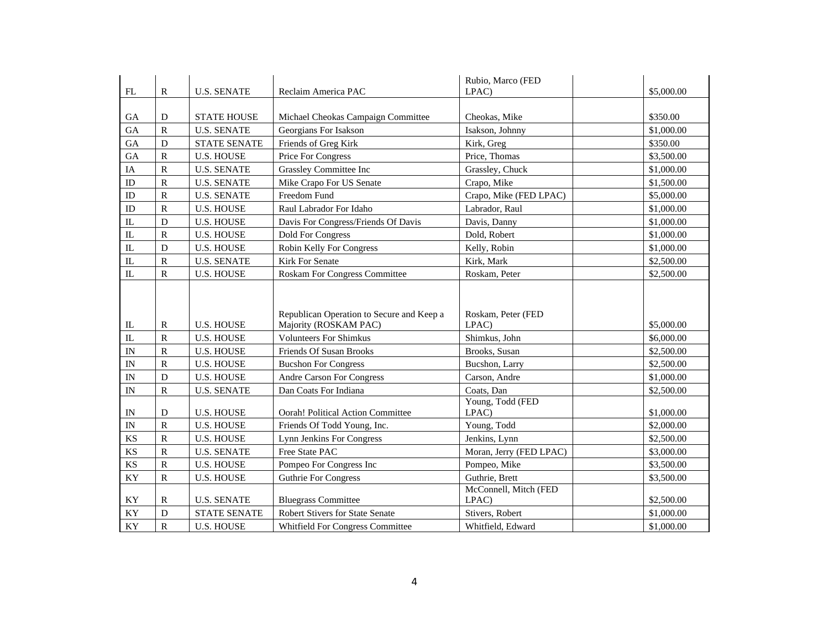| FL                       | $\mathbb{R}$            | <b>U.S. SENATE</b>  | Reclaim America PAC                                                | Rubio, Marco (FED<br>LPAC)     | \$5,000.00 |
|--------------------------|-------------------------|---------------------|--------------------------------------------------------------------|--------------------------------|------------|
|                          |                         |                     |                                                                    |                                |            |
| <b>GA</b>                | D                       | <b>STATE HOUSE</b>  | Michael Cheokas Campaign Committee                                 | Cheokas, Mike                  | \$350.00   |
| GA                       | $\overline{\mathsf{R}}$ | <b>U.S. SENATE</b>  | Georgians For Isakson                                              | Isakson, Johnny                | \$1,000.00 |
| <b>GA</b>                | D                       | <b>STATE SENATE</b> | Friends of Greg Kirk                                               | Kirk, Greg                     | \$350.00   |
| <b>GA</b>                | ${\bf R}$               | <b>U.S. HOUSE</b>   | Price For Congress                                                 | Price, Thomas                  | \$3,500.00 |
| IA                       | ${\bf R}$               | <b>U.S. SENATE</b>  | Grassley Committee Inc                                             | Grassley, Chuck                | \$1,000.00 |
| ID                       | $\overline{\text{R}}$   | <b>U.S. SENATE</b>  | Mike Crapo For US Senate                                           | Crapo, Mike                    | \$1,500.00 |
| ID                       | $\mathbf R$             | <b>U.S. SENATE</b>  | Freedom Fund                                                       | Crapo, Mike (FED LPAC)         | \$5,000.00 |
| ID                       | $\overline{\mathsf{R}}$ | <b>U.S. HOUSE</b>   | Raul Labrador For Idaho                                            | Labrador, Raul                 | \$1,000.00 |
| IL                       | ${\bf D}$               | <b>U.S. HOUSE</b>   | Davis For Congress/Friends Of Davis                                | Davis, Danny                   | \$1,000.00 |
| IL                       | $\mathbb{R}$            | <b>U.S. HOUSE</b>   | <b>Dold For Congress</b>                                           | Dold, Robert                   | \$1,000.00 |
| $\rm IL$                 | D                       | <b>U.S. HOUSE</b>   | Robin Kelly For Congress                                           | Kelly, Robin                   | \$1,000.00 |
| $\rm IL$                 | $\mathbf R$             | <b>U.S. SENATE</b>  | Kirk For Senate                                                    | Kirk, Mark                     | \$2,500.00 |
| IL                       | $\mathbb{R}$            | <b>U.S. HOUSE</b>   | <b>Roskam For Congress Committee</b>                               | Roskam, Peter                  | \$2,500.00 |
| $\mathbb{L}$             | $\mathbb{R}$            | <b>U.S. HOUSE</b>   | Republican Operation to Secure and Keep a<br>Majority (ROSKAM PAC) | Roskam, Peter (FED<br>LPAC)    | \$5,000.00 |
| $\mathbf{L}$             | $\overline{\text{R}}$   | <b>U.S. HOUSE</b>   | <b>Volunteers For Shimkus</b>                                      | Shimkus, John                  | \$6,000.00 |
| IN                       | R                       | <b>U.S. HOUSE</b>   | Friends Of Susan Brooks                                            | Brooks, Susan                  | \$2,500.00 |
| $\ensuremath{\text{IN}}$ | $\mathbb{R}$            |                     |                                                                    |                                |            |
| $\ensuremath{\text{IN}}$ |                         | <b>U.S. HOUSE</b>   | <b>Bucshon For Congress</b>                                        | Bucshon, Larry                 | \$2,500.00 |
| IN                       | D                       | <b>U.S. HOUSE</b>   | <b>Andre Carson For Congress</b>                                   | Carson, Andre                  | \$1,000.00 |
|                          | $\mathbf R$             | <b>U.S. SENATE</b>  | Dan Coats For Indiana                                              | Coats, Dan                     | \$2,500.00 |
| IN                       | D                       | <b>U.S. HOUSE</b>   | <b>Oorah! Political Action Committee</b>                           | Young, Todd (FED<br>LPAC)      | \$1,000.00 |
| IN                       | ${\bf R}$               | <b>U.S. HOUSE</b>   | Friends Of Todd Young, Inc.                                        | Young, Todd                    | \$2,000.00 |
| KS                       | ${\bf R}$               | <b>U.S. HOUSE</b>   | <b>Lynn Jenkins For Congress</b>                                   | Jenkins, Lynn                  | \$2,500.00 |
| KS                       | $\mathbf R$             | <b>U.S. SENATE</b>  | Free State PAC                                                     | Moran, Jerry (FED LPAC)        | \$3,000.00 |
| <b>KS</b>                | $\overline{\mathsf{R}}$ | <b>U.S. HOUSE</b>   | Pompeo For Congress Inc                                            | Pompeo, Mike                   | \$3,500.00 |
| KY                       | $\mathbf R$             | <b>U.S. HOUSE</b>   | <b>Guthrie For Congress</b>                                        | Guthrie, Brett                 | \$3,500.00 |
| KY                       | $\mathbb{R}$            | <b>U.S. SENATE</b>  | <b>Bluegrass Committee</b>                                         | McConnell, Mitch (FED<br>LPAC) | \$2,500.00 |
| KY                       | ${\bf D}$               | <b>STATE SENATE</b> | Robert Stivers for State Senate                                    | Stivers, Robert                | \$1,000.00 |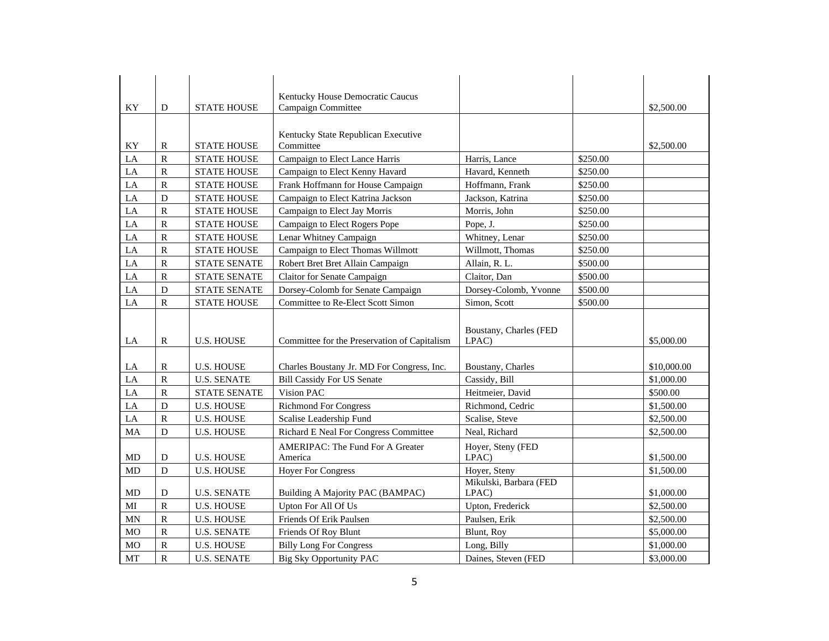| KY         | D                       | <b>STATE HOUSE</b>  | Kentucky House Democratic Caucus<br><b>Campaign Committee</b> |                                 |          | \$2,500.00  |
|------------|-------------------------|---------------------|---------------------------------------------------------------|---------------------------------|----------|-------------|
|            |                         |                     |                                                               |                                 |          |             |
|            |                         |                     |                                                               |                                 |          |             |
| KY         | ${\bf R}$               | <b>STATE HOUSE</b>  | Kentucky State Republican Executive<br>Committee              |                                 |          | \$2,500.00  |
| LA         | $\overline{\mathsf{R}}$ | <b>STATE HOUSE</b>  | Campaign to Elect Lance Harris                                | Harris, Lance                   | \$250.00 |             |
| $\rm LA$   | ${\bf R}$               | <b>STATE HOUSE</b>  | Campaign to Elect Kenny Havard                                | Havard, Kenneth                 | \$250.00 |             |
| LA         | ${\bf R}$               |                     |                                                               |                                 |          |             |
|            |                         | <b>STATE HOUSE</b>  | Frank Hoffmann for House Campaign                             | Hoffmann, Frank                 | \$250.00 |             |
| ${\rm LA}$ | $\mathbf D$             | <b>STATE HOUSE</b>  | Campaign to Elect Katrina Jackson                             | Jackson, Katrina                | \$250.00 |             |
| $\rm LA$   | $\overline{\mathsf{R}}$ | <b>STATE HOUSE</b>  | Campaign to Elect Jay Morris                                  | Morris, John                    | \$250.00 |             |
| LA         | $\overline{\mathsf{R}}$ | <b>STATE HOUSE</b>  | Campaign to Elect Rogers Pope                                 | Pope, J.                        | \$250.00 |             |
| ${\rm LA}$ | ${\bf R}$               | <b>STATE HOUSE</b>  | Lenar Whitney Campaign                                        | Whitney, Lenar                  | \$250.00 |             |
| LA         | ${\bf R}$               | <b>STATE HOUSE</b>  | Campaign to Elect Thomas Willmott                             | Willmott, Thomas                | \$250.00 |             |
| LA         | ${\bf R}$               | <b>STATE SENATE</b> | Robert Bret Bret Allain Campaign                              | Allain, R. L.                   | \$500.00 |             |
| LA         | $\overline{\text{R}}$   | <b>STATE SENATE</b> | Claitor for Senate Campaign                                   | Claitor, Dan                    | \$500.00 |             |
| LA         | $\mathbf D$             | <b>STATE SENATE</b> | Dorsey-Colomb for Senate Campaign                             | Dorsey-Colomb, Yvonne           | \$500.00 |             |
| LA         | $\overline{\text{R}}$   | <b>STATE HOUSE</b>  | Committee to Re-Elect Scott Simon                             | Simon, Scott                    | \$500.00 |             |
| LA         | $\mathbb{R}$            | <b>U.S. HOUSE</b>   | Committee for the Preservation of Capitalism                  | Boustany, Charles (FED<br>LPAC) |          | \$5,000.00  |
|            |                         |                     |                                                               |                                 |          |             |
| LA         | $\mathbb{R}$            | <b>U.S. HOUSE</b>   | Charles Boustany Jr. MD For Congress, Inc.                    | Boustany, Charles               |          | \$10,000.00 |
| LA         | $\rm R$                 | <b>U.S. SENATE</b>  | <b>Bill Cassidy For US Senate</b>                             | Cassidy, Bill                   |          | \$1,000.00  |
| LA         | ${\bf R}$               | <b>STATE SENATE</b> | Vision PAC                                                    | Heitmeier, David                |          | \$500.00    |
| LA         | $\mathbf D$             | <b>U.S. HOUSE</b>   | <b>Richmond For Congress</b>                                  | Richmond, Cedric                |          | \$1,500.00  |
| LA         | $\mathbf R$             | <b>U.S. HOUSE</b>   | Scalise Leadership Fund                                       | Scalise, Steve                  |          | \$2,500.00  |
| MA         | $\mathbf D$             | <b>U.S. HOUSE</b>   | <b>Richard E Neal For Congress Committee</b>                  | Neal, Richard                   |          | \$2,500.00  |
|            |                         |                     | <b>AMERIPAC: The Fund For A Greater</b>                       | Hoyer, Steny (FED               |          |             |
| <b>MD</b>  | D                       | <b>U.S. HOUSE</b>   | America                                                       | LPAC)                           |          | \$1,500.00  |
| <b>MD</b>  | $\mathbf D$             | <b>U.S. HOUSE</b>   | <b>Hoyer For Congress</b>                                     | Hoyer, Steny                    |          | \$1,500.00  |
|            |                         |                     |                                                               | Mikulski, Barbara (FED          |          |             |
| MD         | D                       | <b>U.S. SENATE</b>  | Building A Majority PAC (BAMPAC)                              | LPAC)                           |          | \$1,000.00  |
| MI         | $\overline{R}$          | <b>U.S. HOUSE</b>   | Upton For All Of Us                                           | Upton, Frederick                |          | \$2,500.00  |
| <b>MN</b>  | $\overline{\text{R}}$   | <b>U.S. HOUSE</b>   | Friends Of Erik Paulsen                                       | Paulsen, Erik                   |          | \$2,500.00  |
| <b>MO</b>  |                         |                     |                                                               |                                 |          |             |
|            | ${\bf R}$               | <b>U.S. SENATE</b>  | Friends Of Roy Blunt                                          | Blunt, Roy                      |          | \$5,000.00  |
| <b>MO</b>  | $\overline{\text{R}}$   | <b>U.S. HOUSE</b>   | <b>Billy Long For Congress</b>                                | Long, Billy                     |          | \$1,000.00  |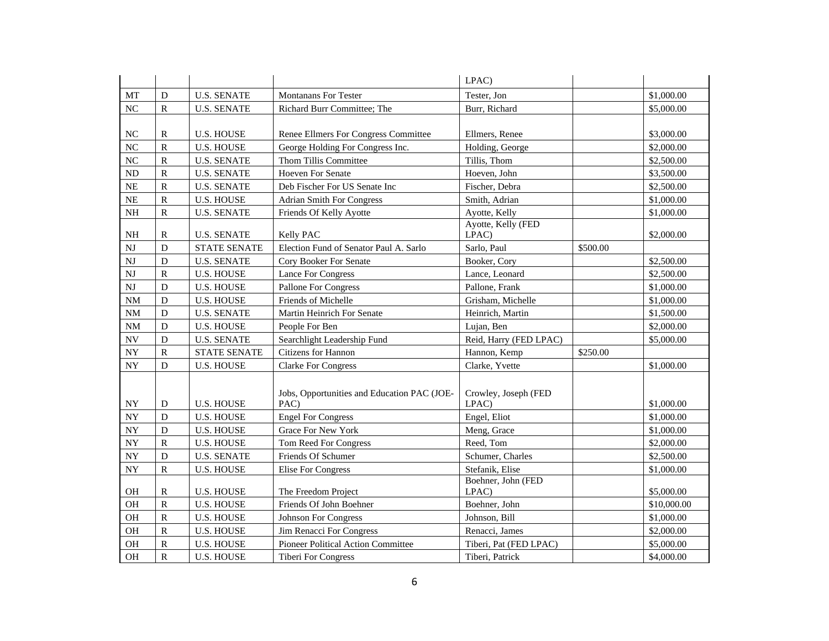|                          |              |                     |                                                     | LPAC)                         |          |             |
|--------------------------|--------------|---------------------|-----------------------------------------------------|-------------------------------|----------|-------------|
| $\operatorname{MT}$      | D            | <b>U.S. SENATE</b>  | <b>Montanans For Tester</b>                         | Tester, Jon                   |          | \$1,000.00  |
| NC                       | $\mathbb{R}$ | <b>U.S. SENATE</b>  | Richard Burr Committee; The                         | Burr, Richard                 |          | \$5,000.00  |
|                          |              |                     |                                                     |                               |          |             |
| <b>NC</b>                | R            | <b>U.S. HOUSE</b>   | Renee Ellmers For Congress Committee                | Ellmers, Renee                |          | \$3,000.00  |
| NC                       | ${\bf R}$    | <b>U.S. HOUSE</b>   | George Holding For Congress Inc.                    | Holding, George               |          | \$2,000.00  |
| NC                       | ${\bf R}$    | <b>U.S. SENATE</b>  | Thom Tillis Committee                               | Tillis, Thom                  |          | \$2,500.00  |
| $\rm ND$                 | $\mathbb{R}$ | <b>U.S. SENATE</b>  | <b>Hoeven For Senate</b>                            | Hoeven, John                  |          | \$3,500.00  |
| $\rm NE$                 | ${\bf R}$    | <b>U.S. SENATE</b>  | Deb Fischer For US Senate Inc                       | Fischer, Debra                |          | \$2,500.00  |
| $\rm NE$                 | ${\bf R}$    | <b>U.S. HOUSE</b>   | <b>Adrian Smith For Congress</b>                    | Smith, Adrian                 |          | \$1,000.00  |
| <b>NH</b>                | $\mathbb{R}$ | <b>U.S. SENATE</b>  | Friends Of Kelly Ayotte                             | Ayotte, Kelly                 |          | \$1,000.00  |
| <b>NH</b>                | $\mathbb{R}$ | <b>U.S. SENATE</b>  | Kelly PAC                                           | Ayotte, Kelly (FED<br>LPAC)   |          | \$2,000.00  |
| NJ                       | $\mathbf D$  | <b>STATE SENATE</b> | Election Fund of Senator Paul A. Sarlo              | Sarlo, Paul                   | \$500.00 |             |
| NJ                       | $\mathbf D$  | <b>U.S. SENATE</b>  | Cory Booker For Senate                              | Booker, Cory                  |          | \$2,500.00  |
| NJ                       | $\, {\bf R}$ | <b>U.S. HOUSE</b>   | <b>Lance For Congress</b>                           | Lance, Leonard                |          | \$2,500.00  |
| <b>NJ</b>                | $\mathbf D$  | <b>U.S. HOUSE</b>   | Pallone For Congress                                | Pallone, Frank                |          | \$1,000.00  |
| <b>NM</b>                | $\mathbf D$  | <b>U.S. HOUSE</b>   | Friends of Michelle                                 | Grisham, Michelle             |          | \$1,000.00  |
| <b>NM</b>                | ${\bf D}$    | <b>U.S. SENATE</b>  | Martin Heinrich For Senate                          | Heinrich, Martin              |          | \$1,500.00  |
| <b>NM</b>                | $\mathbf D$  | <b>U.S. HOUSE</b>   | People For Ben                                      | Lujan, Ben                    |          | \$2,000.00  |
| <b>NV</b>                | D            | <b>U.S. SENATE</b>  | Searchlight Leadership Fund                         | Reid, Harry (FED LPAC)        |          | \$5,000.00  |
| ${\rm NY}$               | $\, {\bf R}$ | <b>STATE SENATE</b> | Citizens for Hannon                                 | Hannon, Kemp                  | \$250.00 |             |
| <b>NY</b>                | $\mathbf D$  | <b>U.S. HOUSE</b>   | <b>Clarke For Congress</b>                          | Clarke, Yvette                |          | \$1,000.00  |
| <b>NY</b>                | D            | <b>U.S. HOUSE</b>   | Jobs, Opportunities and Education PAC (JOE-<br>PAC) | Crowley, Joseph (FED<br>LPAC) |          | \$1,000.00  |
| <b>NY</b>                | $\mathbf D$  | <b>U.S. HOUSE</b>   | <b>Engel For Congress</b>                           | Engel, Eliot                  |          | \$1,000.00  |
| ${\rm NY}$               | $\mathbf D$  | <b>U.S. HOUSE</b>   | Grace For New York                                  | Meng, Grace                   |          | \$1,000.00  |
| <b>NY</b>                | $\mathbf R$  | <b>U.S. HOUSE</b>   | Tom Reed For Congress                               | Reed. Tom                     |          | \$2,000.00  |
| ${\rm NY}$               | ${\bf D}$    | <b>U.S. SENATE</b>  | Friends Of Schumer                                  | Schumer, Charles              |          | \$2,500.00  |
| $\ensuremath{\text{NY}}$ | $\mathbf R$  | <b>U.S. HOUSE</b>   | Elise For Congress                                  | Stefanik, Elise               |          | \$1,000.00  |
| <b>OH</b>                | R            | <b>U.S. HOUSE</b>   | The Freedom Project                                 | Boehner, John (FED<br>LPAC)   |          | \$5,000.00  |
| <b>OH</b>                | $\mathbb{R}$ | <b>U.S. HOUSE</b>   | Friends Of John Boehner                             | Boehner, John                 |          | \$10,000.00 |
| OH                       | ${\bf R}$    | <b>U.S. HOUSE</b>   | Johnson For Congress                                | Johnson, Bill                 |          | \$1,000.00  |
| OH                       | $\mathbf R$  | <b>U.S. HOUSE</b>   | Jim Renacci For Congress                            | Renacci, James                |          | \$2,000.00  |
| OH                       | ${\bf R}$    | <b>U.S. HOUSE</b>   | Pioneer Political Action Committee                  | Tiberi, Pat (FED LPAC)        |          | \$5,000.00  |
| <b>OH</b>                | ${\bf R}$    | <b>U.S. HOUSE</b>   | <b>Tiberi For Congress</b>                          | Tiberi, Patrick               |          | \$4,000.00  |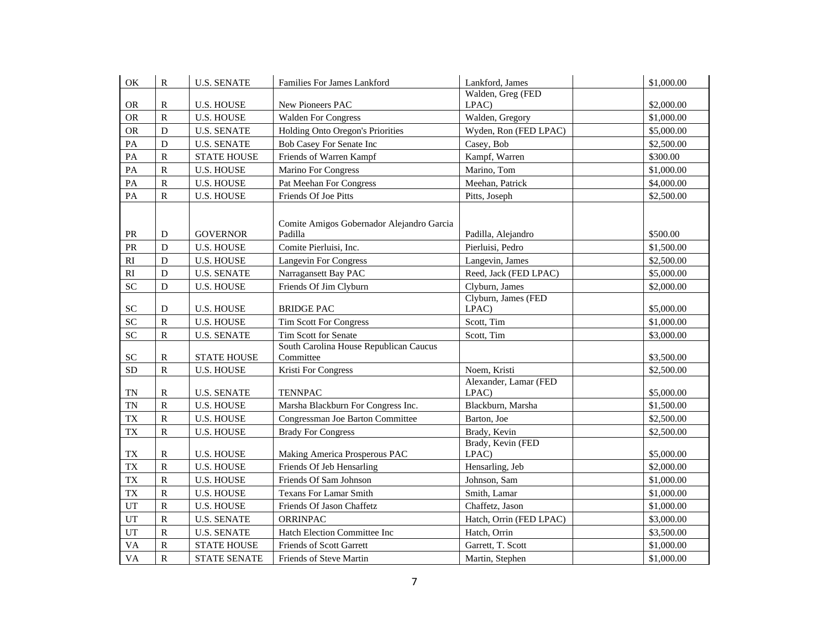| OK                                | ${\bf R}$               | <b>U.S. SENATE</b>  | Families For James Lankford                          | Lankford, James                | \$1,000.00 |  |
|-----------------------------------|-------------------------|---------------------|------------------------------------------------------|--------------------------------|------------|--|
|                                   |                         |                     |                                                      | Walden, Greg (FED              |            |  |
| <b>OR</b>                         | $\mathbb{R}$            | <b>U.S. HOUSE</b>   | New Pioneers PAC                                     | LPAC)                          | \$2,000.00 |  |
| <b>OR</b>                         | $\, {\bf R}$            | <b>U.S. HOUSE</b>   | <b>Walden For Congress</b>                           | Walden, Gregory                | \$1,000.00 |  |
| <b>OR</b>                         | $\mathbf D$             | <b>U.S. SENATE</b>  | Holding Onto Oregon's Priorities                     | Wyden, Ron (FED LPAC)          | \$5,000.00 |  |
| PA                                | ${\bf D}$               | <b>U.S. SENATE</b>  | Bob Casey For Senate Inc                             | Casey, Bob                     | \$2,500.00 |  |
| PA                                | $\, {\bf R}$            | <b>STATE HOUSE</b>  | Friends of Warren Kampf                              | Kampf, Warren                  | \$300.00   |  |
| PA                                | $\overline{\mathsf{R}}$ | <b>U.S. HOUSE</b>   | Marino For Congress                                  | Marino, Tom                    | \$1,000.00 |  |
| $\mathbf{PA}$                     | ${\bf R}$               | <b>U.S. HOUSE</b>   | Pat Meehan For Congress                              | Meehan, Patrick                | \$4,000.00 |  |
| PA                                | ${\bf R}$               | <b>U.S. HOUSE</b>   | Friends Of Joe Pitts                                 | Pitts, Joseph                  | \$2,500.00 |  |
| $\ensuremath{\mathsf{PR}}\xspace$ | D                       | <b>GOVERNOR</b>     | Comite Amigos Gobernador Alejandro Garcia<br>Padilla | Padilla, Alejandro             | \$500.00   |  |
| PR                                | $\mathbf D$             | <b>U.S. HOUSE</b>   | Comite Pierluisi, Inc.                               | Pierluisi, Pedro               | \$1,500.00 |  |
| $\mathbf{R}\mathbf{I}$            | $\mathbf D$             | <b>U.S. HOUSE</b>   | <b>Langevin For Congress</b>                         | Langevin, James                | \$2,500.00 |  |
| $\mathbf{R}\mathbf{I}$            | $\mathbf D$             | <b>U.S. SENATE</b>  | Narragansett Bay PAC                                 | Reed, Jack (FED LPAC)          | \$5,000.00 |  |
| ${\rm SC}$                        | $\mathbf D$             | <b>U.S. HOUSE</b>   | Friends Of Jim Clyburn                               | Clyburn, James                 | \$2,000.00 |  |
| $\ensuremath{\mathbf{SC}}$        | D                       | <b>U.S. HOUSE</b>   | <b>BRIDGE PAC</b>                                    | Clyburn, James (FED<br>LPAC)   | \$5,000.00 |  |
| <b>SC</b>                         | $\mathbf R$             | <b>U.S. HOUSE</b>   | <b>Tim Scott For Congress</b>                        | Scott, Tim                     | \$1,000.00 |  |
| SC                                | ${\bf R}$               | <b>U.S. SENATE</b>  | Tim Scott for Senate                                 | Scott, Tim                     | \$3,000.00 |  |
| ${\rm SC}$                        | $\mathbb R$             | <b>STATE HOUSE</b>  | South Carolina House Republican Caucus<br>Committee  |                                | \$3,500.00 |  |
| ${\rm SD}$                        | ${\bf R}$               | <b>U.S. HOUSE</b>   | Kristi For Congress                                  | Noem, Kristi                   | \$2,500.00 |  |
| <b>TN</b>                         | $\mathbb{R}$            | <b>U.S. SENATE</b>  | <b>TENNPAC</b>                                       | Alexander, Lamar (FED<br>LPAC) | \$5,000.00 |  |
| <b>TN</b>                         | $\, {\bf R}$            | <b>U.S. HOUSE</b>   | Marsha Blackburn For Congress Inc.                   | Blackburn, Marsha              | \$1,500.00 |  |
| <b>TX</b>                         | ${\bf R}$               | <b>U.S. HOUSE</b>   | Congressman Joe Barton Committee                     | Barton, Joe                    | \$2,500.00 |  |
| <b>TX</b>                         | $\, {\bf R}$            | <b>U.S. HOUSE</b>   | <b>Brady For Congress</b>                            | Brady, Kevin                   | \$2,500.00 |  |
| ${\rm T}{\rm X}$                  | R                       | <b>U.S. HOUSE</b>   | Making America Prosperous PAC                        | Brady, Kevin (FED<br>LPAC)     | \$5,000.00 |  |
| <b>TX</b>                         | ${\bf R}$               | <b>U.S. HOUSE</b>   | Friends Of Jeb Hensarling                            | Hensarling, Jeb                | \$2,000.00 |  |
| <b>TX</b>                         | $\, {\bf R}$            | <b>U.S. HOUSE</b>   | Friends Of Sam Johnson                               | Johnson, Sam                   | \$1,000.00 |  |
| <b>TX</b>                         | $\, {\bf R}$            | <b>U.S. HOUSE</b>   | <b>Texans For Lamar Smith</b>                        | Smith, Lamar                   | \$1,000.00 |  |
| UT                                | ${\bf R}$               | <b>U.S. HOUSE</b>   | Friends Of Jason Chaffetz                            | Chaffetz, Jason                | \$1,000.00 |  |
| UT                                | ${\bf R}$               | <b>U.S. SENATE</b>  | ORRINPAC                                             | Hatch, Orrin (FED LPAC)        | \$3,000.00 |  |
| UT                                | $\, {\bf R}$            | <b>U.S. SENATE</b>  | Hatch Election Committee Inc                         | Hatch, Orrin                   | \$3,500.00 |  |
| <b>VA</b>                         | ${\bf R}$               | <b>STATE HOUSE</b>  | Friends of Scott Garrett                             | Garrett, T. Scott              | \$1,000.00 |  |
| <b>VA</b>                         | $\overline{\mathsf{R}}$ | <b>STATE SENATE</b> | Friends of Steve Martin                              | Martin, Stephen                | \$1,000.00 |  |